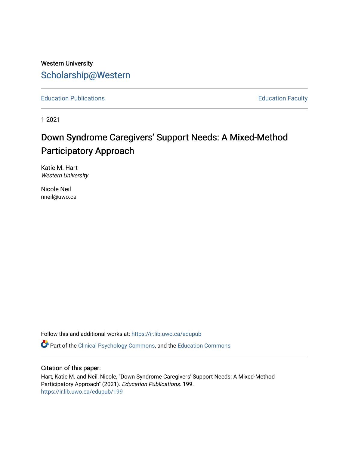# Western University [Scholarship@Western](https://ir.lib.uwo.ca/)

[Education Publications](https://ir.lib.uwo.ca/edupub) **Education** Faculty

1-2021

# Down Syndrome Caregivers' Support Needs: A Mixed-Method Participatory Approach

Katie M. Hart Western University

Nicole Neil nneil@uwo.ca

Follow this and additional works at: [https://ir.lib.uwo.ca/edupub](https://ir.lib.uwo.ca/edupub?utm_source=ir.lib.uwo.ca%2Fedupub%2F199&utm_medium=PDF&utm_campaign=PDFCoverPages) 

Part of the [Clinical Psychology Commons,](http://network.bepress.com/hgg/discipline/406?utm_source=ir.lib.uwo.ca%2Fedupub%2F199&utm_medium=PDF&utm_campaign=PDFCoverPages) and the [Education Commons](http://network.bepress.com/hgg/discipline/784?utm_source=ir.lib.uwo.ca%2Fedupub%2F199&utm_medium=PDF&utm_campaign=PDFCoverPages) 

## Citation of this paper:

Hart, Katie M. and Neil, Nicole, "Down Syndrome Caregivers' Support Needs: A Mixed-Method Participatory Approach" (2021). Education Publications. 199. [https://ir.lib.uwo.ca/edupub/199](https://ir.lib.uwo.ca/edupub/199?utm_source=ir.lib.uwo.ca%2Fedupub%2F199&utm_medium=PDF&utm_campaign=PDFCoverPages)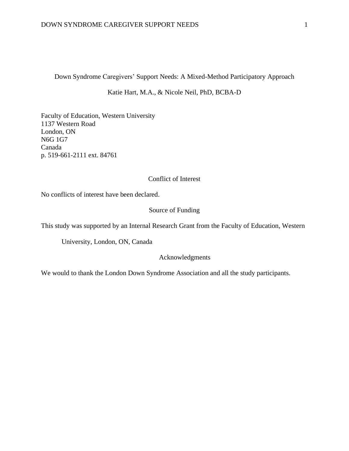Down Syndrome Caregivers' Support Needs: A Mixed-Method Participatory Approach

Katie Hart, M.A., & Nicole Neil, PhD, BCBA-D

Faculty of Education, Western University 1137 Western Road London, ON N6G 1G7 Canada p. 519-661-2111 ext. 84761

# Conflict of Interest

No conflicts of interest have been declared.

# Source of Funding

This study was supported by an Internal Research Grant from the Faculty of Education, Western

University, London, ON, Canada

#### Acknowledgments

We would to thank the London Down Syndrome Association and all the study participants.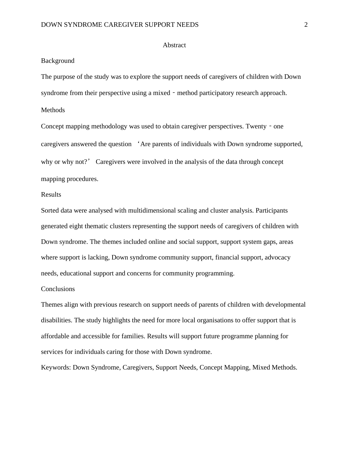#### Abstract

#### Background

The purpose of the study was to explore the support needs of caregivers of children with Down syndrome from their perspective using a mixed - method participatory research approach.

Methods

Concept mapping methodology was used to obtain caregiver perspectives. Twenty – one caregivers answered the question 'Are parents of individuals with Down syndrome supported, why or why not?' Caregivers were involved in the analysis of the data through concept mapping procedures.

# Results

Sorted data were analysed with multidimensional scaling and cluster analysis. Participants generated eight thematic clusters representing the support needs of caregivers of children with Down syndrome. The themes included online and social support, support system gaps, areas where support is lacking, Down syndrome community support, financial support, advocacy needs, educational support and concerns for community programming.

## **Conclusions**

Themes align with previous research on support needs of parents of children with developmental disabilities. The study highlights the need for more local organisations to offer support that is affordable and accessible for families. Results will support future programme planning for services for individuals caring for those with Down syndrome.

Keywords: Down Syndrome, Caregivers, Support Needs, Concept Mapping, Mixed Methods.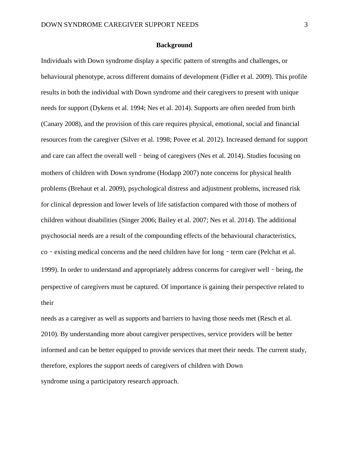#### **Background**

Individuals with Down syndrome display a specific pattern of strengths and challenges, or behavioural phenotype, across different domains of development (Fidler et al. 2009). This profile results in both the individual with Down syndrome and their caregivers to present with unique needs for support (Dykens et al. 1994; Nes et al. 2014). Supports are often needed from birth (Canary 2008), and the provision of this care requires physical, emotional, social and financial resources from the caregiver (Silver et al. 1998; Povee et al. 2012). Increased demand for support and care can affect the overall well - being of caregivers (Nes et al. 2014). Studies focusing on mothers of children with Down syndrome (Hodapp 2007) note concerns for physical health problems (Brehaut et al. 2009), psychological distress and adjustment problems, increased risk for clinical depression and lower levels of life satisfaction compared with those of mothers of children without disabilities (Singer 2006; Bailey et al. 2007; Nes et al. 2014). The additional psychosocial needs are a result of the compounding effects of the behavioural characteristics, co – existing medical concerns and the need children have for long – term care (Pelchat et al. 1999). In order to understand and appropriately address concerns for caregiver well - being, the perspective of caregivers must be captured. Of importance is gaining their perspective related to their

needs as a caregiver as well as supports and barriers to having those needs met (Resch et al. 2010). By understanding more about caregiver perspectives, service providers will be better informed and can be better equipped to provide services that meet their needs. The current study, therefore, explores the support needs of caregivers of children with Down syndrome using a participatory research approach.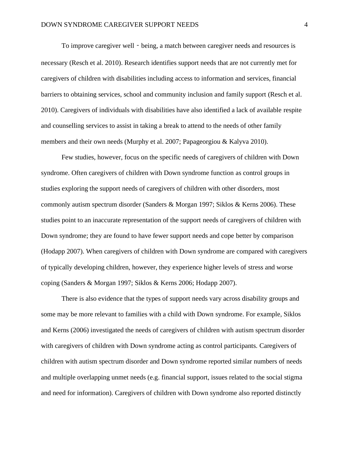To improve caregiver well - being, a match between caregiver needs and resources is necessary (Resch et al. 2010). Research identifies support needs that are not currently met for caregivers of children with disabilities including access to information and services, financial barriers to obtaining services, school and community inclusion and family support (Resch et al. 2010). Caregivers of individuals with disabilities have also identified a lack of available respite and counselling services to assist in taking a break to attend to the needs of other family members and their own needs (Murphy et al. 2007; Papageorgiou & Kalyva 2010).

Few studies, however, focus on the specific needs of caregivers of children with Down syndrome. Often caregivers of children with Down syndrome function as control groups in studies exploring the support needs of caregivers of children with other disorders, most commonly autism spectrum disorder (Sanders & Morgan 1997; Siklos & Kerns 2006). These studies point to an inaccurate representation of the support needs of caregivers of children with Down syndrome; they are found to have fewer support needs and cope better by comparison (Hodapp 2007). When caregivers of children with Down syndrome are compared with caregivers of typically developing children, however, they experience higher levels of stress and worse coping (Sanders & Morgan 1997; Siklos & Kerns 2006; Hodapp 2007).

There is also evidence that the types of support needs vary across disability groups and some may be more relevant to families with a child with Down syndrome. For example, Siklos and Kerns (2006) investigated the needs of caregivers of children with autism spectrum disorder with caregivers of children with Down syndrome acting as control participants. Caregivers of children with autism spectrum disorder and Down syndrome reported similar numbers of needs and multiple overlapping unmet needs (e.g. financial support, issues related to the social stigma and need for information). Caregivers of children with Down syndrome also reported distinctly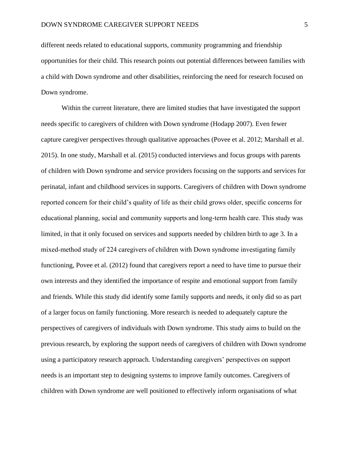different needs related to educational supports, community programming and friendship opportunities for their child. This research points out potential differences between families with a child with Down syndrome and other disabilities, reinforcing the need for research focused on Down syndrome.

Within the current literature, there are limited studies that have investigated the support needs specific to caregivers of children with Down syndrome (Hodapp 2007). Even fewer capture caregiver perspectives through qualitative approaches (Povee et al. 2012; Marshall et al. 2015). In one study, Marshall et al. (2015) conducted interviews and focus groups with parents of children with Down syndrome and service providers focusing on the supports and services for perinatal, infant and childhood services in supports. Caregivers of children with Down syndrome reported concern for their child's quality of life as their child grows older, specific concerns for educational planning, social and community supports and long‐term health care. This study was limited, in that it only focused on services and supports needed by children birth to age 3. In a mixed-method study of 224 caregivers of children with Down syndrome investigating family functioning, Povee et al. (2012) found that caregivers report a need to have time to pursue their own interests and they identified the importance of respite and emotional support from family and friends. While this study did identify some family supports and needs, it only did so as part of a larger focus on family functioning. More research is needed to adequately capture the perspectives of caregivers of individuals with Down syndrome. This study aims to build on the previous research, by exploring the support needs of caregivers of children with Down syndrome using a participatory research approach. Understanding caregivers' perspectives on support needs is an important step to designing systems to improve family outcomes. Caregivers of children with Down syndrome are well positioned to effectively inform organisations of what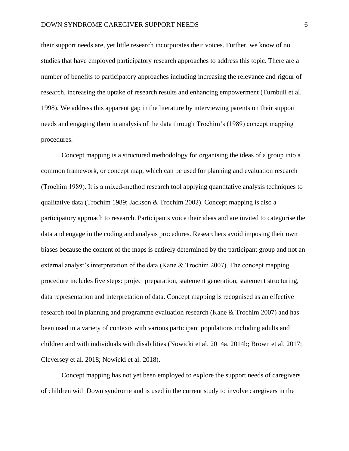their support needs are, yet little research incorporates their voices. Further, we know of no studies that have employed participatory research approaches to address this topic. There are a number of benefits to participatory approaches including increasing the relevance and rigour of research, increasing the uptake of research results and enhancing empowerment (Turnbull et al. 1998). We address this apparent gap in the literature by interviewing parents on their support needs and engaging them in analysis of the data through Trochim's (1989) concept mapping procedures.

Concept mapping is a structured methodology for organising the ideas of a group into a common framework, or concept map, which can be used for planning and evaluation research (Trochim 1989). It is a mixed‐method research tool applying quantitative analysis techniques to qualitative data (Trochim 1989; Jackson & Trochim 2002). Concept mapping is also a participatory approach to research. Participants voice their ideas and are invited to categorise the data and engage in the coding and analysis procedures. Researchers avoid imposing their own biases because the content of the maps is entirely determined by the participant group and not an external analyst's interpretation of the data (Kane & Trochim 2007). The concept mapping procedure includes five steps: project preparation, statement generation, statement structuring, data representation and interpretation of data. Concept mapping is recognised as an effective research tool in planning and programme evaluation research (Kane & Trochim 2007) and has been used in a variety of contexts with various participant populations including adults and children and with individuals with disabilities (Nowicki et al. 2014a, 2014b; Brown et al. 2017; Cleversey et al. 2018; Nowicki et al. 2018).

Concept mapping has not yet been employed to explore the support needs of caregivers of children with Down syndrome and is used in the current study to involve caregivers in the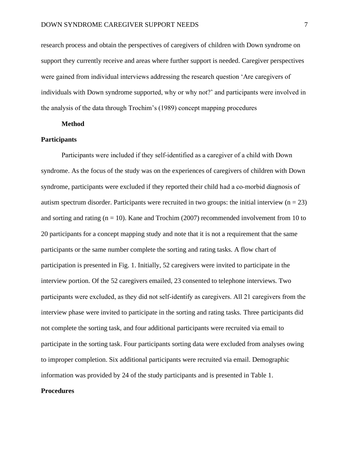research process and obtain the perspectives of caregivers of children with Down syndrome on support they currently receive and areas where further support is needed. Caregiver perspectives were gained from individual interviews addressing the research question 'Are caregivers of individuals with Down syndrome supported, why or why not?' and participants were involved in the analysis of the data through Trochim's (1989) concept mapping procedures

#### **Method**

#### **Participants**

Participants were included if they self‐identified as a caregiver of a child with Down syndrome. As the focus of the study was on the experiences of caregivers of children with Down syndrome, participants were excluded if they reported their child had a co-morbid diagnosis of autism spectrum disorder. Participants were recruited in two groups: the initial interview ( $n = 23$ ) and sorting and rating  $(n = 10)$ . Kane and Trochim (2007) recommended involvement from 10 to 20 participants for a concept mapping study and note that it is not a requirement that the same participants or the same number complete the sorting and rating tasks. A flow chart of participation is presented in Fig. 1. Initially, 52 caregivers were invited to participate in the interview portion. Of the 52 caregivers emailed, 23 consented to telephone interviews. Two participants were excluded, as they did not self-identify as caregivers. All 21 caregivers from the interview phase were invited to participate in the sorting and rating tasks. Three participants did not complete the sorting task, and four additional participants were recruited via email to participate in the sorting task. Four participants sorting data were excluded from analyses owing to improper completion. Six additional participants were recruited via email. Demographic information was provided by 24 of the study participants and is presented in Table 1.

#### **Procedures**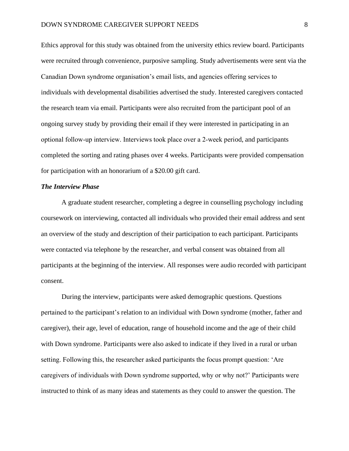Ethics approval for this study was obtained from the university ethics review board. Participants were recruited through convenience, purposive sampling. Study advertisements were sent via the Canadian Down syndrome organisation's email lists, and agencies offering services to individuals with developmental disabilities advertised the study. Interested caregivers contacted the research team via email. Participants were also recruited from the participant pool of an ongoing survey study by providing their email if they were interested in participating in an optional follow‐up interview. Interviews took place over a 2‐week period, and participants completed the sorting and rating phases over 4 weeks. Participants were provided compensation for participation with an honorarium of a \$20.00 gift card.

#### *The Interview Phase*

A graduate student researcher, completing a degree in counselling psychology including coursework on interviewing, contacted all individuals who provided their email address and sent an overview of the study and description of their participation to each participant. Participants were contacted via telephone by the researcher, and verbal consent was obtained from all participants at the beginning of the interview. All responses were audio recorded with participant consent.

During the interview, participants were asked demographic questions. Questions pertained to the participant's relation to an individual with Down syndrome (mother, father and caregiver), their age, level of education, range of household income and the age of their child with Down syndrome. Participants were also asked to indicate if they lived in a rural or urban setting. Following this, the researcher asked participants the focus prompt question: 'Are caregivers of individuals with Down syndrome supported, why or why not?' Participants were instructed to think of as many ideas and statements as they could to answer the question. The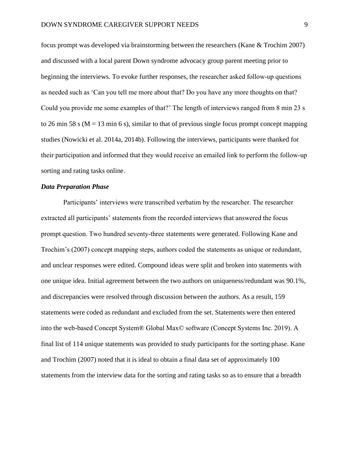focus prompt was developed via brainstorming between the researchers (Kane & Trochim 2007) and discussed with a local parent Down syndrome advocacy group parent meeting prior to beginning the interviews. To evoke further responses, the researcher asked follow‐up questions as needed such as 'Can you tell me more about that? Do you have any more thoughts on that? Could you provide me some examples of that?' The length of interviews ranged from 8 min 23 s to 26 min 58 s ( $M = 13$  min 6 s), similar to that of previous single focus prompt concept mapping studies (Nowicki et al. 2014a, 2014b). Following the interviews, participants were thanked for their participation and informed that they would receive an emailed link to perform the follow‐up sorting and rating tasks online.

# *Data Preparation Phase*

Participants' interviews were transcribed verbatim by the researcher. The researcher extracted all participants' statements from the recorded interviews that answered the focus prompt question. Two hundred seventy‐three statements were generated. Following Kane and Trochim's (2007) concept mapping steps, authors coded the statements as unique or redundant, and unclear responses were edited. Compound ideas were split and broken into statements with one unique idea. Initial agreement between the two authors on uniqueness/redundant was 90.1%, and discrepancies were resolved through discussion between the authors. As a result, 159 statements were coded as redundant and excluded from the set. Statements were then entered into the web-based Concept System® Global Max© software (Concept Systems Inc. 2019). A final list of 114 unique statements was provided to study participants for the sorting phase. Kane and Trochim (2007) noted that it is ideal to obtain a final data set of approximately 100 statements from the interview data for the sorting and rating tasks so as to ensure that a breadth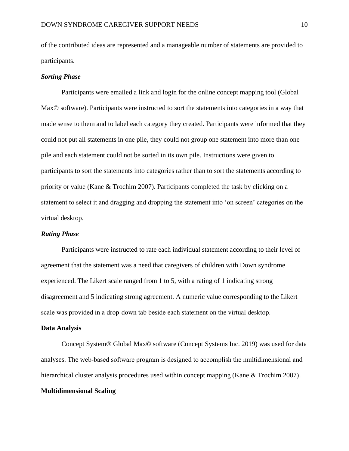of the contributed ideas are represented and a manageable number of statements are provided to participants.

#### *Sorting Phase*

Participants were emailed a link and login for the online concept mapping tool (Global Max© software). Participants were instructed to sort the statements into categories in a way that made sense to them and to label each category they created. Participants were informed that they could not put all statements in one pile, they could not group one statement into more than one pile and each statement could not be sorted in its own pile. Instructions were given to participants to sort the statements into categories rather than to sort the statements according to priority or value (Kane & Trochim 2007). Participants completed the task by clicking on a statement to select it and dragging and dropping the statement into 'on screen' categories on the virtual desktop.

#### *Rating Phase*

Participants were instructed to rate each individual statement according to their level of agreement that the statement was a need that caregivers of children with Down syndrome experienced. The Likert scale ranged from 1 to 5, with a rating of 1 indicating strong disagreement and 5 indicating strong agreement. A numeric value corresponding to the Likert scale was provided in a drop‐down tab beside each statement on the virtual desktop.

#### **Data Analysis**

Concept System® Global Max© software (Concept Systems Inc. 2019) was used for data analyses. The web‐based software program is designed to accomplish the multidimensional and hierarchical cluster analysis procedures used within concept mapping (Kane & Trochim 2007).

#### **Multidimensional Scaling**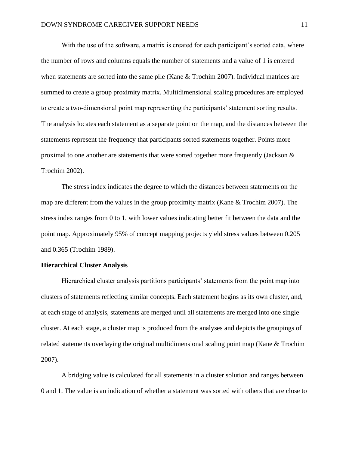With the use of the software, a matrix is created for each participant's sorted data, where the number of rows and columns equals the number of statements and a value of 1 is entered when statements are sorted into the same pile (Kane & Trochim 2007). Individual matrices are summed to create a group proximity matrix. Multidimensional scaling procedures are employed to create a two-dimensional point map representing the participants' statement sorting results. The analysis locates each statement as a separate point on the map, and the distances between the statements represent the frequency that participants sorted statements together. Points more proximal to one another are statements that were sorted together more frequently (Jackson & Trochim 2002).

The stress index indicates the degree to which the distances between statements on the map are different from the values in the group proximity matrix (Kane & Trochim 2007). The stress index ranges from 0 to 1, with lower values indicating better fit between the data and the point map. Approximately 95% of concept mapping projects yield stress values between 0.205 and 0.365 (Trochim 1989).

#### **Hierarchical Cluster Analysis**

Hierarchical cluster analysis partitions participants' statements from the point map into clusters of statements reflecting similar concepts. Each statement begins as its own cluster, and, at each stage of analysis, statements are merged until all statements are merged into one single cluster. At each stage, a cluster map is produced from the analyses and depicts the groupings of related statements overlaying the original multidimensional scaling point map (Kane & Trochim 2007).

A bridging value is calculated for all statements in a cluster solution and ranges between 0 and 1. The value is an indication of whether a statement was sorted with others that are close to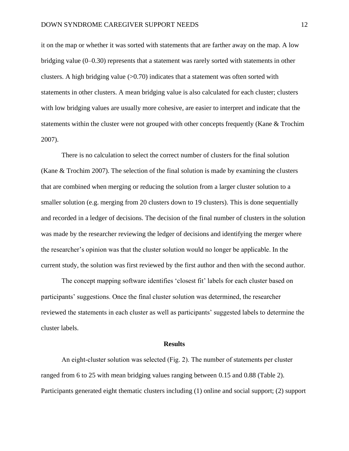it on the map or whether it was sorted with statements that are farther away on the map. A low bridging value (0–0.30) represents that a statement was rarely sorted with statements in other clusters. A high bridging value  $(0.70)$  indicates that a statement was often sorted with statements in other clusters. A mean bridging value is also calculated for each cluster; clusters with low bridging values are usually more cohesive, are easier to interpret and indicate that the statements within the cluster were not grouped with other concepts frequently (Kane & Trochim 2007).

There is no calculation to select the correct number of clusters for the final solution (Kane & Trochim 2007). The selection of the final solution is made by examining the clusters that are combined when merging or reducing the solution from a larger cluster solution to a smaller solution (e.g. merging from 20 clusters down to 19 clusters). This is done sequentially and recorded in a ledger of decisions. The decision of the final number of clusters in the solution was made by the researcher reviewing the ledger of decisions and identifying the merger where the researcher's opinion was that the cluster solution would no longer be applicable. In the current study, the solution was first reviewed by the first author and then with the second author.

The concept mapping software identifies 'closest fit' labels for each cluster based on participants' suggestions. Once the final cluster solution was determined, the researcher reviewed the statements in each cluster as well as participants' suggested labels to determine the cluster labels.

#### **Results**

An eight-cluster solution was selected (Fig. 2). The number of statements per cluster ranged from 6 to 25 with mean bridging values ranging between 0.15 and 0.88 (Table 2). Participants generated eight thematic clusters including (1) online and social support; (2) support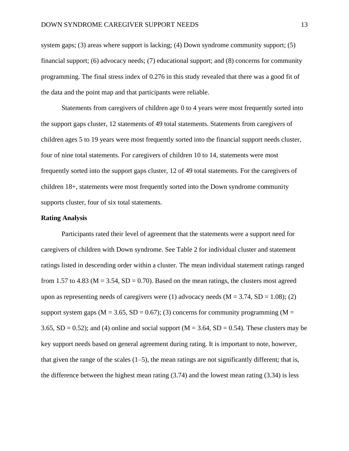system gaps; (3) areas where support is lacking; (4) Down syndrome community support; (5) financial support; (6) advocacy needs; (7) educational support; and (8) concerns for community programming. The final stress index of 0.276 in this study revealed that there was a good fit of the data and the point map and that participants were reliable.

Statements from caregivers of children age 0 to 4 years were most frequently sorted into the support gaps cluster, 12 statements of 49 total statements. Statements from caregivers of children ages 5 to 19 years were most frequently sorted into the financial support needs cluster, four of nine total statements. For caregivers of children 10 to 14, statements were most frequently sorted into the support gaps cluster, 12 of 49 total statements. For the caregivers of children 18+, statements were most frequently sorted into the Down syndrome community supports cluster, four of six total statements.

#### **Rating Analysis**

Participants rated their level of agreement that the statements were a support need for caregivers of children with Down syndrome. See Table 2 for individual cluster and statement ratings listed in descending order within a cluster. The mean individual statement ratings ranged from 1.57 to 4.83 ( $M = 3.54$ ,  $SD = 0.70$ ). Based on the mean ratings, the clusters most agreed upon as representing needs of caregivers were (1) advocacy needs  $(M = 3.74, SD = 1.08)$ ; (2) support system gaps ( $M = 3.65$ ,  $SD = 0.67$ ); (3) concerns for community programming ( $M =$ 3.65,  $SD = 0.52$ ); and (4) online and social support ( $M = 3.64$ ,  $SD = 0.54$ ). These clusters may be key support needs based on general agreement during rating. It is important to note, however, that given the range of the scales  $(1–5)$ , the mean ratings are not significantly different; that is, the difference between the highest mean rating (3.74) and the lowest mean rating (3.34) is less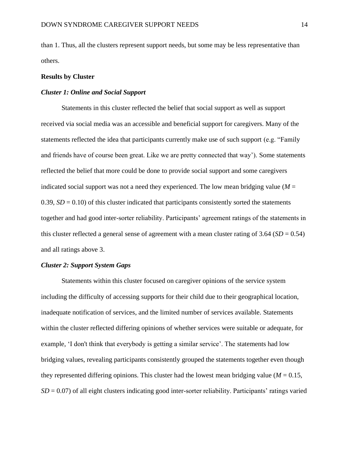than 1. Thus, all the clusters represent support needs, but some may be less representative than others.

#### **Results by Cluster**

#### *Cluster 1: Online and Social Support*

Statements in this cluster reflected the belief that social support as well as support received via social media was an accessible and beneficial support for caregivers. Many of the statements reflected the idea that participants currently make use of such support (e.g. "Family and friends have of course been great. Like we are pretty connected that way'). Some statements reflected the belief that more could be done to provide social support and some caregivers indicated social support was not a need they experienced. The low mean bridging value ( $M =$ 0.39,  $SD = 0.10$  of this cluster indicated that participants consistently sorted the statements together and had good inter-sorter reliability. Participants' agreement ratings of the statements in this cluster reflected a general sense of agreement with a mean cluster rating of  $3.64$  (*SD* = 0.54) and all ratings above 3.

## *Cluster 2: Support System Gaps*

Statements within this cluster focused on caregiver opinions of the service system including the difficulty of accessing supports for their child due to their geographical location, inadequate notification of services, and the limited number of services available. Statements within the cluster reflected differing opinions of whether services were suitable or adequate, for example, 'I don't think that everybody is getting a similar service'. The statements had low bridging values, revealing participants consistently grouped the statements together even though they represented differing opinions. This cluster had the lowest mean bridging value ( $M = 0.15$ , *SD* = 0.07) of all eight clusters indicating good inter-sorter reliability. Participants' ratings varied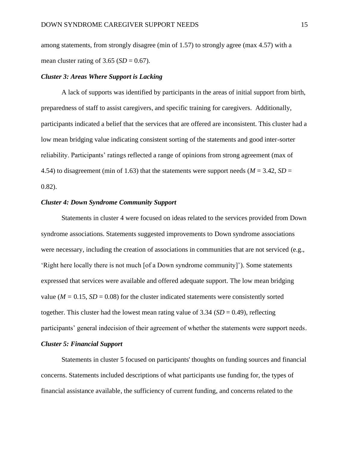among statements, from strongly disagree (min of 1.57) to strongly agree (max 4.57) with a mean cluster rating of  $3.65$  (*SD* = 0.67).

#### *Cluster 3: Areas Where Support is Lacking*

A lack of supports was identified by participants in the areas of initial support from birth, preparedness of staff to assist caregivers, and specific training for caregivers. Additionally, participants indicated a belief that the services that are offered are inconsistent. This cluster had a low mean bridging value indicating consistent sorting of the statements and good inter-sorter reliability. Participants' ratings reflected a range of opinions from strong agreement (max of 4.54) to disagreement (min of 1.63) that the statements were support needs ( $M = 3.42$ ,  $SD =$ 0.82).

### *Cluster 4: Down Syndrome Community Support*

Statements in cluster 4 were focused on ideas related to the services provided from Down syndrome associations. Statements suggested improvements to Down syndrome associations were necessary, including the creation of associations in communities that are not serviced (e.g., 'Right here locally there is not much [of a Down syndrome community]'). Some statements expressed that services were available and offered adequate support. The low mean bridging value ( $M = 0.15$ ,  $SD = 0.08$ ) for the cluster indicated statements were consistently sorted together. This cluster had the lowest mean rating value of  $3.34$  ( $SD = 0.49$ ), reflecting participants' general indecision of their agreement of whether the statements were support needs. *Cluster 5: Financial Support*

Statements in cluster 5 focused on participants' thoughts on funding sources and financial concerns. Statements included descriptions of what participants use funding for, the types of financial assistance available, the sufficiency of current funding, and concerns related to the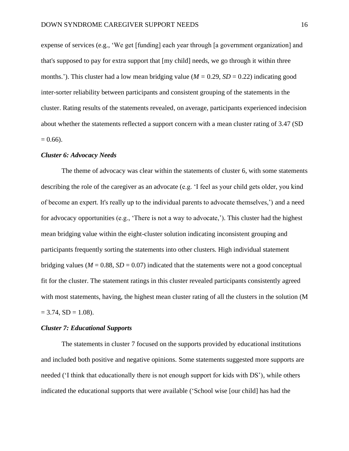expense of services (e.g., 'We get [funding] each year through [a government organization] and that's supposed to pay for extra support that [my child] needs, we go through it within three months.'). This cluster had a low mean bridging value ( $M = 0.29$ ,  $SD = 0.22$ ) indicating good inter-sorter reliability between participants and consistent grouping of the statements in the cluster. Rating results of the statements revealed, on average, participants experienced indecision about whether the statements reflected a support concern with a mean cluster rating of 3.47 (SD  $= 0.66$ ).

#### *Cluster 6: Advocacy Needs*

The theme of advocacy was clear within the statements of cluster 6, with some statements describing the role of the caregiver as an advocate (e.g. 'I feel as your child gets older, you kind of become an expert. It's really up to the individual parents to advocate themselves,') and a need for advocacy opportunities (e.g., 'There is not a way to advocate,'). This cluster had the highest mean bridging value within the eight-cluster solution indicating inconsistent grouping and participants frequently sorting the statements into other clusters. High individual statement bridging values ( $M = 0.88$ ,  $SD = 0.07$ ) indicated that the statements were not a good conceptual fit for the cluster. The statement ratings in this cluster revealed participants consistently agreed with most statements, having, the highest mean cluster rating of all the clusters in the solution (M  $= 3.74$ , SD  $= 1.08$ ).

## *Cluster 7: Educational Supports*

The statements in cluster 7 focused on the supports provided by educational institutions and included both positive and negative opinions. Some statements suggested more supports are needed ('I think that educationally there is not enough support for kids with DS'), while others indicated the educational supports that were available ('School wise [our child] has had the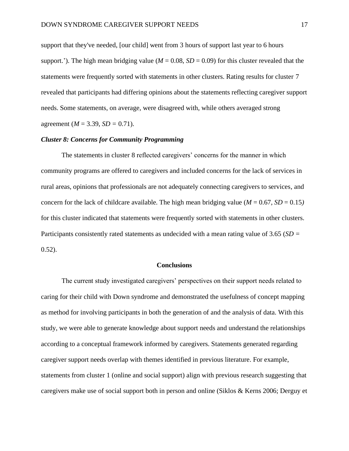support that they've needed, [our child] went from 3 hours of support last year to 6 hours support.'). The high mean bridging value ( $M = 0.08$ ,  $SD = 0.09$ ) for this cluster revealed that the statements were frequently sorted with statements in other clusters. Rating results for cluster 7 revealed that participants had differing opinions about the statements reflecting caregiver support needs. Some statements, on average, were disagreed with, while others averaged strong agreement (*M* = 3.39, *SD =* 0.71).

#### *Cluster 8: Concerns for Community Programming*

The statements in cluster 8 reflected caregivers' concerns for the manner in which community programs are offered to caregivers and included concerns for the lack of services in rural areas, opinions that professionals are not adequately connecting caregivers to services, and concern for the lack of childcare available. The high mean bridging value ( $M = 0.67$ ,  $SD = 0.15$ ) for this cluster indicated that statements were frequently sorted with statements in other clusters. Participants consistently rated statements as undecided with a mean rating value of 3.65 (*SD =*   $0.52$ ).

#### **Conclusions**

The current study investigated caregivers' perspectives on their support needs related to caring for their child with Down syndrome and demonstrated the usefulness of concept mapping as method for involving participants in both the generation of and the analysis of data. With this study, we were able to generate knowledge about support needs and understand the relationships according to a conceptual framework informed by caregivers. Statements generated regarding caregiver support needs overlap with themes identified in previous literature. For example, statements from cluster 1 (online and social support) align with previous research suggesting that caregivers make use of social support both in person and online (Siklos & Kerns 2006; Derguy et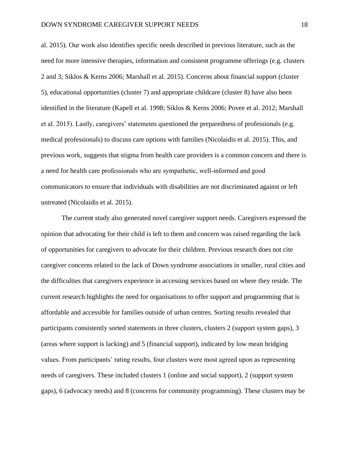al. 2015). Our work also identifies specific needs described in previous literature, such as the need for more intensive therapies, information and consistent programme offerings (e.g. clusters 2 and 3; Siklos & Kerns 2006; Marshall et al. 2015). Concerns about financial support (cluster 5), educational opportunities (cluster 7) and appropriate childcare (cluster 8) have also been identified in the literature (Kapell et al. 1998; Siklos & Kerns 2006; Povee et al. 2012; Marshall et al. 2015). Lastly, caregivers' statements questioned the preparedness of professionals (e.g. medical professionals) to discuss care options with families (Nicolaidis et al. 2015). This, and previous work, suggests that stigma from health care providers is a common concern and there is a need for health care professionals who are sympathetic, well‐informed and good communicators to ensure that individuals with disabilities are not discriminated against or left untreated (Nicolaidis et al. 2015).

The current study also generated novel caregiver support needs. Caregivers expressed the opinion that advocating for their child is left to them and concern was raised regarding the lack of opportunities for caregivers to advocate for their children. Previous research does not cite caregiver concerns related to the lack of Down syndrome associations in smaller, rural cities and the difficulties that caregivers experience in accessing services based on where they reside. The current research highlights the need for organisations to offer support and programming that is affordable and accessible for families outside of urban centres. Sorting results revealed that participants consistently sorted statements in three clusters, clusters 2 (support system gaps), 3 (areas where support is lacking) and 5 (financial support), indicated by low mean bridging values. From participants' rating results, four clusters were most agreed upon as representing needs of caregivers. These included clusters 1 (online and social support), 2 (support system gaps), 6 (advocacy needs) and 8 (concerns for community programming). These clusters may be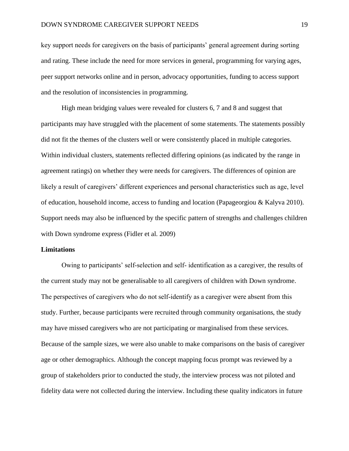key support needs for caregivers on the basis of participants' general agreement during sorting and rating. These include the need for more services in general, programming for varying ages, peer support networks online and in person, advocacy opportunities, funding to access support and the resolution of inconsistencies in programming.

High mean bridging values were revealed for clusters 6, 7 and 8 and suggest that participants may have struggled with the placement of some statements. The statements possibly did not fit the themes of the clusters well or were consistently placed in multiple categories. Within individual clusters, statements reflected differing opinions (as indicated by the range in agreement ratings) on whether they were needs for caregivers. The differences of opinion are likely a result of caregivers' different experiences and personal characteristics such as age, level of education, household income, access to funding and location (Papageorgiou & Kalyva 2010). Support needs may also be influenced by the specific pattern of strengths and challenges children with Down syndrome express (Fidler et al. 2009)

## **Limitations**

Owing to participants' self‐selection and self‐ identification as a caregiver, the results of the current study may not be generalisable to all caregivers of children with Down syndrome. The perspectives of caregivers who do not self-identify as a caregiver were absent from this study. Further, because participants were recruited through community organisations, the study may have missed caregivers who are not participating or marginalised from these services. Because of the sample sizes, we were also unable to make comparisons on the basis of caregiver age or other demographics. Although the concept mapping focus prompt was reviewed by a group of stakeholders prior to conducted the study, the interview process was not piloted and fidelity data were not collected during the interview. Including these quality indicators in future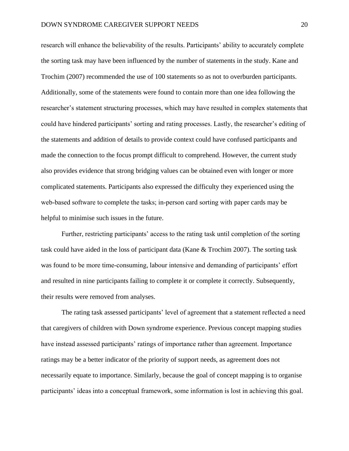research will enhance the believability of the results. Participants' ability to accurately complete the sorting task may have been influenced by the number of statements in the study. Kane and Trochim (2007) recommended the use of 100 statements so as not to overburden participants. Additionally, some of the statements were found to contain more than one idea following the researcher's statement structuring processes, which may have resulted in complex statements that could have hindered participants' sorting and rating processes. Lastly, the researcher's editing of the statements and addition of details to provide context could have confused participants and made the connection to the focus prompt difficult to comprehend. However, the current study also provides evidence that strong bridging values can be obtained even with longer or more complicated statements. Participants also expressed the difficulty they experienced using the web‐based software to complete the tasks; in‐person card sorting with paper cards may be helpful to minimise such issues in the future.

Further, restricting participants' access to the rating task until completion of the sorting task could have aided in the loss of participant data (Kane & Trochim 2007). The sorting task was found to be more time-consuming, labour intensive and demanding of participants' effort and resulted in nine participants failing to complete it or complete it correctly. Subsequently, their results were removed from analyses.

The rating task assessed participants' level of agreement that a statement reflected a need that caregivers of children with Down syndrome experience. Previous concept mapping studies have instead assessed participants' ratings of importance rather than agreement. Importance ratings may be a better indicator of the priority of support needs, as agreement does not necessarily equate to importance. Similarly, because the goal of concept mapping is to organise participants' ideas into a conceptual framework, some information is lost in achieving this goal.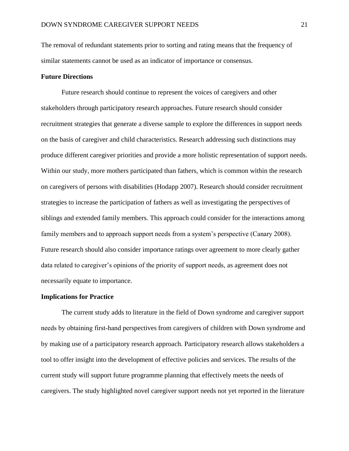The removal of redundant statements prior to sorting and rating means that the frequency of similar statements cannot be used as an indicator of importance or consensus.

#### **Future Directions**

Future research should continue to represent the voices of caregivers and other stakeholders through participatory research approaches. Future research should consider recruitment strategies that generate a diverse sample to explore the differences in support needs on the basis of caregiver and child characteristics. Research addressing such distinctions may produce different caregiver priorities and provide a more holistic representation of support needs. Within our study, more mothers participated than fathers, which is common within the research on caregivers of persons with disabilities (Hodapp 2007). Research should consider recruitment strategies to increase the participation of fathers as well as investigating the perspectives of siblings and extended family members. This approach could consider for the interactions among family members and to approach support needs from a system's perspective (Canary 2008). Future research should also consider importance ratings over agreement to more clearly gather data related to caregiver's opinions of the priority of support needs, as agreement does not necessarily equate to importance.

#### **Implications for Practice**

The current study adds to literature in the field of Down syndrome and caregiver support needs by obtaining first-hand perspectives from caregivers of children with Down syndrome and by making use of a participatory research approach. Participatory research allows stakeholders a tool to offer insight into the development of effective policies and services. The results of the current study will support future programme planning that effectively meets the needs of caregivers. The study highlighted novel caregiver support needs not yet reported in the literature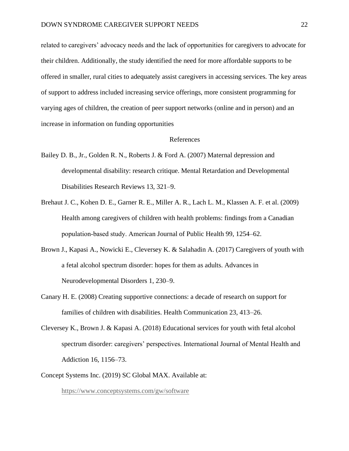related to caregivers' advocacy needs and the lack of opportunities for caregivers to advocate for their children. Additionally, the study identified the need for more affordable supports to be offered in smaller, rural cities to adequately assist caregivers in accessing services. The key areas of support to address included increasing service offerings, more consistent programming for varying ages of children, the creation of peer support networks (online and in person) and an increase in information on funding opportunities

#### References

- Bailey D. B., Jr., Golden R. N., Roberts J. & Ford A. (2007) Maternal depression and developmental disability: research critique. Mental Retardation and Developmental Disabilities Research Reviews 13, 321–9.
- Brehaut J. C., Kohen D. E., Garner R. E., Miller A. R., Lach L. M., Klassen A. F. et al. (2009) Health among caregivers of children with health problems: findings from a Canadian population‐based study. American Journal of Public Health 99, 1254–62.
- Brown J., Kapasi A., Nowicki E., Cleversey K. & Salahadin A. (2017) Caregivers of youth with a fetal alcohol spectrum disorder: hopes for them as adults. Advances in Neurodevelopmental Disorders 1, 230–9.
- Canary H. E. (2008) Creating supportive connections: a decade of research on support for families of children with disabilities. Health Communication 23, 413–26.
- Cleversey K., Brown J. & Kapasi A. (2018) Educational services for youth with fetal alcohol spectrum disorder: caregivers' perspectives. International Journal of Mental Health and Addiction 16, 1156–73.
- Concept Systems Inc. (2019) SC Global MAX. Available at:

<https://www.conceptsystems.com/gw/software>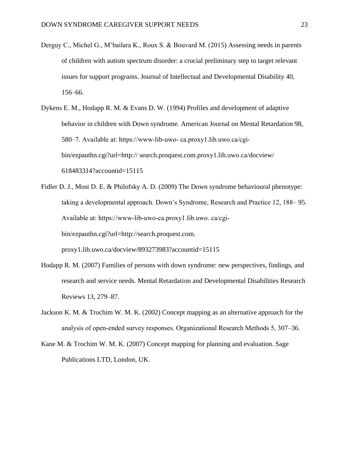- Derguy C., Michel G., M'bailara K., Roux S. & Bouvard M. (2015) Assessing needs in parents of children with autism spectrum disorder: a crucial preliminary step to target relevant issues for support programs. Journal of Intellectual and Developmental Disability 40, 156–66.
- Dykens E. M., Hodapp R. M. & Evans D. W. (1994) Profiles and development of adaptive behavior in children with Down syndrome. American Journal on Mental Retardation 98, 580–7. Available at: https://www‐lib‐uwo‐ ca.proxy1.lib.uwo.ca/cgi‐ bin/ezpauthn.cgi?url=http:// search.proquest.com.proxy1.lib.uwo.ca/docview/ 618483314?accountid=15115
- Fidler D. J., Most D. E. & Philofsky A. D. (2009) The Down syndrome behavioural phenotype: taking a developmental approach. Down's Syndrome, Research and Practice 12, 188– 95. Available at: https://www‐lib‐uwo‐ca.proxy1.lib.uwo. ca/cgi‐ bin/ezpauthn.cgi?url=http://search.proquest.com. proxy1.lib.uwo.ca/docview/893273983?accountid=15115
- Hodapp R. M. (2007) Families of persons with down syndrome: new perspectives, findings, and research and service needs. Mental Retardation and Developmental Disabilities Research Reviews 13, 279–87.
- Jackson K. M. & Trochim W. M. K. (2002) Concept mapping as an alternative approach for the analysis of open‐ended survey responses. Organizational Research Methods 5, 307–36.
- Kane M. & Trochim W. M. K. (2007) Concept mapping for planning and evaluation. Sage Publications LTD, London, UK.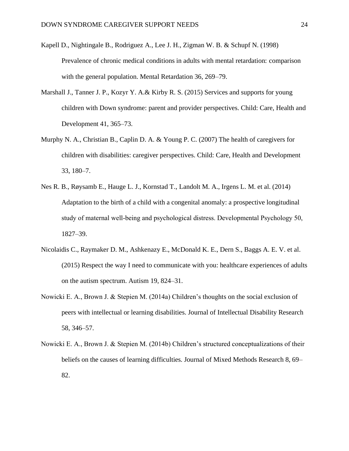- Kapell D., Nightingale B., Rodriguez A., Lee J. H., Zigman W. B. & Schupf N. (1998) Prevalence of chronic medical conditions in adults with mental retardation: comparison with the general population. Mental Retardation 36, 269–79.
- Marshall J., Tanner J. P., Kozyr Y. A.& Kirby R. S. (2015) Services and supports for young children with Down syndrome: parent and provider perspectives. Child: Care, Health and Development 41, 365–73.
- Murphy N. A., Christian B., Caplin D. A. & Young P. C. (2007) The health of caregivers for children with disabilities: caregiver perspectives. Child: Care, Health and Development 33, 180–7.
- Nes R. B., Røysamb E., Hauge L. J., Kornstad T., Landolt M. A., Irgens L. M. et al. (2014) Adaptation to the birth of a child with a congenital anomaly: a prospective longitudinal study of maternal well‐being and psychological distress. Developmental Psychology 50, 1827–39.
- Nicolaidis C., Raymaker D. M., Ashkenazy E., McDonald K. E., Dern S., Baggs A. E. V. et al. (2015) Respect the way I need to communicate with you: healthcare experiences of adults on the autism spectrum. Autism 19, 824–31.
- Nowicki E. A., Brown J. & Stepien M. (2014a) Children's thoughts on the social exclusion of peers with intellectual or learning disabilities. Journal of Intellectual Disability Research 58, 346–57.
- Nowicki E. A., Brown J. & Stepien M. (2014b) Children's structured conceptualizations of their beliefs on the causes of learning difficulties. Journal of Mixed Methods Research 8, 69– 82.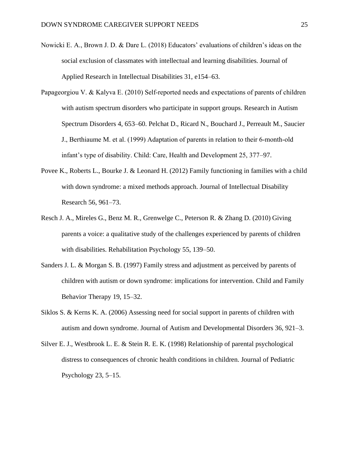- Nowicki E. A., Brown J. D. & Dare L. (2018) Educators' evaluations of children's ideas on the social exclusion of classmates with intellectual and learning disabilities. Journal of Applied Research in Intellectual Disabilities 31, e154–63.
- Papageorgiou V. & Kalyva E. (2010) Self-reported needs and expectations of parents of children with autism spectrum disorders who participate in support groups. Research in Autism Spectrum Disorders 4, 653–60. Pelchat D., Ricard N., Bouchard J., Perreault M., Saucier J., Berthiaume M. et al. (1999) Adaptation of parents in relation to their 6‐month‐old infant's type of disability. Child: Care, Health and Development 25, 377–97.
- Povee K., Roberts L., Bourke J. & Leonard H. (2012) Family functioning in families with a child with down syndrome: a mixed methods approach. Journal of Intellectual Disability Research 56, 961–73.
- Resch J. A., Mireles G., Benz M. R., Grenwelge C., Peterson R. & Zhang D. (2010) Giving parents a voice: a qualitative study of the challenges experienced by parents of children with disabilities. Rehabilitation Psychology 55, 139–50.
- Sanders J. L. & Morgan S. B. (1997) Family stress and adjustment as perceived by parents of children with autism or down syndrome: implications for intervention. Child and Family Behavior Therapy 19, 15–32.
- Siklos S. & Kerns K. A. (2006) Assessing need for social support in parents of children with autism and down syndrome. Journal of Autism and Developmental Disorders 36, 921–3.
- Silver E. J., Westbrook L. E. & Stein R. E. K. (1998) Relationship of parental psychological distress to consequences of chronic health conditions in children. Journal of Pediatric Psychology  $23, 5-15$ .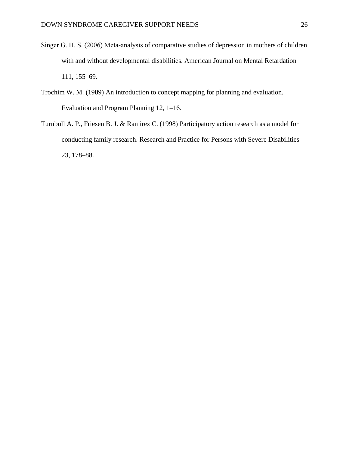- Singer G. H. S. (2006) Meta‐analysis of comparative studies of depression in mothers of children with and without developmental disabilities. American Journal on Mental Retardation 111, 155–69.
- Trochim W. M. (1989) An introduction to concept mapping for planning and evaluation. Evaluation and Program Planning 12, 1–16.
- Turnbull A. P., Friesen B. J. & Ramirez C. (1998) Participatory action research as a model for conducting family research. Research and Practice for Persons with Severe Disabilities 23, 178–88.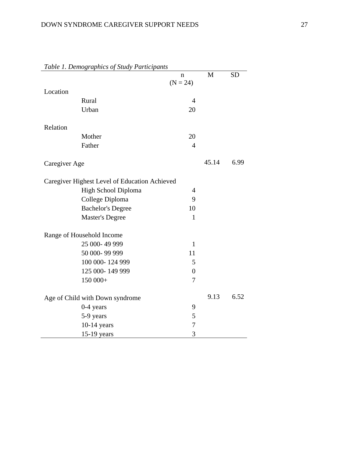| ravie 1. Demographics of study Farncipanis    | n              | M     | <b>SD</b> |
|-----------------------------------------------|----------------|-------|-----------|
| Location                                      | $(N = 24)$     |       |           |
| Rural                                         | $\overline{4}$ |       |           |
| Urban                                         | 20             |       |           |
|                                               |                |       |           |
| Relation                                      |                |       |           |
| Mother                                        | 20             |       |           |
| Father                                        | $\overline{4}$ |       |           |
| Caregiver Age                                 |                | 45.14 | 6.99      |
| Caregiver Highest Level of Education Achieved |                |       |           |
| High School Diploma                           | $\overline{4}$ |       |           |
| College Diploma                               | 9              |       |           |
| <b>Bachelor's Degree</b>                      | 10             |       |           |
| <b>Master's Degree</b>                        | $\mathbf{1}$   |       |           |
| Range of Household Income                     |                |       |           |
| 25 000-49 999                                 | $\mathbf{1}$   |       |           |
| 50 000-99 999                                 | 11             |       |           |
| 100 000-124 999                               | 5              |       |           |
| 125 000-149 999                               | $\overline{0}$ |       |           |
| 150 000+                                      | 7              |       |           |
| Age of Child with Down syndrome               |                | 9.13  | 6.52      |
| 0-4 years                                     | 9              |       |           |
| 5-9 years                                     | 5              |       |           |
| $10-14$ years                                 | 7              |       |           |
| 15-19 years                                   | 3              |       |           |

# *Table 1. Demographics of Study Participants*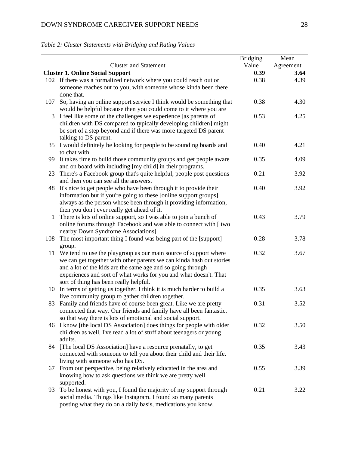|              |                                                                                | <b>Bridging</b> | Mean      |
|--------------|--------------------------------------------------------------------------------|-----------------|-----------|
|              | <b>Cluster and Statement</b>                                                   | Value           | Agreement |
|              | <b>Cluster 1. Online Social Support</b>                                        | 0.39            | 3.64      |
|              | 102 If there was a formalized network where you could reach out or             | 0.38            | 4.39      |
|              | someone reaches out to you, with someone whose kinda been there                |                 |           |
|              | done that.                                                                     |                 |           |
| 107          | So, having an online support service I think would be something that           | 0.38            | 4.30      |
|              | would be helpful because then you could come to it where you are               |                 |           |
| 3            | I feel like some of the challenges we experience [as parents of                | 0.53            | 4.25      |
|              | children with DS compared to typically developing children] might              |                 |           |
|              | be sort of a step beyond and if there was more targeted DS parent              |                 |           |
|              | talking to DS parent.                                                          |                 |           |
|              | 35 I would definitely be looking for people to be sounding boards and          | 0.40            | 4.21      |
|              | to chat with.                                                                  |                 |           |
|              | 99 It takes time to build those community groups and get people aware          | 0.35            | 4.09      |
|              | and on board with including [my child] in their programs.                      |                 |           |
|              | 23 There's a Facebook group that's quite helpful, people post questions        | 0.21            | 3.92      |
|              | and then you can see all the answers.                                          |                 |           |
|              | 48 It's nice to get people who have been through it to provide their           | 0.40            | 3.92      |
|              | information but if you're going to these [online support groups]               |                 |           |
|              | always as the person whose been through it providing information,              |                 |           |
|              | then you don't ever really get ahead of it.                                    |                 |           |
| $\mathbf{1}$ | There is lots of online support, so I was able to join a bunch of              | 0.43            | 3.79      |
|              | online forums through Facebook and was able to connect with [ two              |                 |           |
|              | nearby Down Syndrome Associations].                                            |                 |           |
| 108          | The most important thing I found was being part of the [support]               | 0.28            | 3.78      |
|              | group.                                                                         |                 |           |
| 11           | We tend to use the playgroup as our main source of support where               | 0.32            | 3.67      |
|              | we can get together with other parents we can kinda hash out stories           |                 |           |
|              | and a lot of the kids are the same age and so going through                    |                 |           |
|              | experiences and sort of what works for you and what doesn't. That              |                 |           |
|              | sort of thing has been really helpful.                                         |                 |           |
|              | 10 In terms of getting us together, I think it is much harder to build a       | 0.35            | 3.63      |
|              | live community group to gather children together.                              |                 |           |
| 83           | Family and friends have of course been great. Like we are pretty               | 0.31            | 3.52      |
|              | connected that way. Our friends and family have all been fantastic,            |                 |           |
|              | so that way there is lots of emotional and social support.                     |                 |           |
|              | 46 I know [the local DS Association] does things for people with older         | 0.32            | 3.50      |
|              | children as well, I've read a lot of stuff about teenagers or young<br>adults. |                 |           |
| 84           | [The local DS Association] have a resource prenatally, to get                  | 0.35            | 3.43      |
|              | connected with someone to tell you about their child and their life,           |                 |           |
|              | living with someone who has DS.                                                |                 |           |
|              | 67 From our perspective, being relatively educated in the area and             | 0.55            | 3.39      |
|              | knowing how to ask questions we think we are pretty well                       |                 |           |
|              | supported.                                                                     |                 |           |
| 93           | To be honest with you, I found the majority of my support through              | 0.21            | 3.22      |
|              | social media. Things like Instagram. I found so many parents                   |                 |           |
|              | posting what they do on a daily basis, medications you know,                   |                 |           |

# *Table 2: Cluster Statements with Bridging and Rating Values*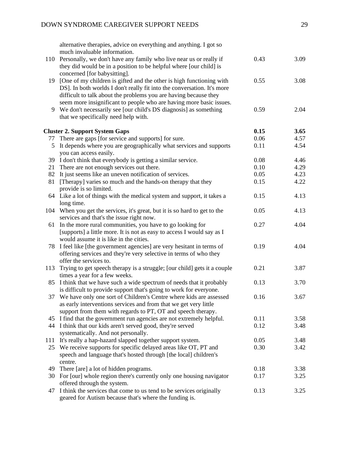alternative therapies, advice on everything and anything. I got so much invaluable information.

|     | 110 Personally, we don't have any family who live near us or really if                                                              | 0.43 | 3.09 |
|-----|-------------------------------------------------------------------------------------------------------------------------------------|------|------|
|     | they did would be in a position to be helpful where [our child] is                                                                  |      |      |
|     | concerned [for babysitting].                                                                                                        |      |      |
| 19  | [One of my children is gifted and the other is high functioning with                                                                | 0.55 | 3.08 |
|     | DS]. In both worlds I don't really fit into the conversation. It's more                                                             |      |      |
|     | difficult to talk about the problems you are having because they                                                                    |      |      |
|     | seem more insignificant to people who are having more basic issues.                                                                 |      |      |
| 9   | We don't necessarily see [our child's DS diagnosis] as something<br>that we specifically need help with.                            | 0.59 | 2.04 |
|     |                                                                                                                                     |      |      |
|     | <b>Cluster 2. Support System Gaps</b>                                                                                               | 0.15 | 3.65 |
| 77  | There are gaps [for service and supports] for sure.                                                                                 | 0.06 | 4.57 |
| 5   | It depends where you are geographically what services and supports                                                                  | 0.11 | 4.54 |
|     | you can access easily.                                                                                                              |      |      |
|     | 39 I don't think that everybody is getting a similar service.                                                                       | 0.08 | 4.46 |
| 21  | There are not enough services out there.                                                                                            | 0.10 | 4.29 |
| 82  | It just seems like an uneven notification of services.                                                                              | 0.05 | 4.23 |
| 81  | [Therapy] varies so much and the hands-on therapy that they                                                                         | 0.15 | 4.22 |
|     | provide is so limited.                                                                                                              |      |      |
|     | 64 Like a lot of things with the medical system and support, it takes a                                                             | 0.15 | 4.13 |
|     | long time.                                                                                                                          |      |      |
| 104 | When you get the services, it's great, but it is so hard to get to the                                                              | 0.05 | 4.13 |
|     | services and that's the issue right now.                                                                                            |      |      |
| 61  | In the more rural communities, you have to go looking for<br>[supports] a little more. It is not as easy to access I would say as I | 0.27 | 4.04 |
|     | would assume it is like in the cities.                                                                                              |      |      |
|     | 78 I feel like [the government agencies] are very hesitant in terms of                                                              | 0.19 | 4.04 |
|     | offering services and they're very selective in terms of who they                                                                   |      |      |
|     | offer the services to.                                                                                                              |      |      |
| 113 | Trying to get speech therapy is a struggle; [our child] gets it a couple                                                            | 0.21 | 3.87 |
|     | times a year for a few weeks.                                                                                                       |      |      |
| 85  | I think that we have such a wide spectrum of needs that it probably                                                                 | 0.13 | 3.70 |
|     | is difficult to provide support that's going to work for everyone.                                                                  |      |      |
| 37  | We have only one sort of Children's Centre where kids are assessed                                                                  | 0.16 | 3.67 |
|     | as early interventions services and from that we get very little                                                                    |      |      |
|     | support from them with regards to PT, OT and speech therapy.                                                                        |      |      |
| 45  | I find that the government run agencies are not extremely helpful.                                                                  | 0.11 | 3.58 |
|     | 44 I think that our kids aren't served good, they're served                                                                         | 0.12 | 3.48 |
|     | systematically. And not personally.                                                                                                 |      |      |
|     | 111 It's really a hap-hazard slapped together support system.                                                                       | 0.05 | 3.48 |
|     | 25 We receive supports for specific delayed areas like OT, PT and                                                                   | 0.30 | 3.42 |
|     | speech and language that's hosted through [the local] children's                                                                    |      |      |
| 49  | centre.<br>There [are] a lot of hidden programs.                                                                                    | 0.18 | 3.38 |
|     | 30 For [our] whole region there's currently only one housing navigator                                                              | 0.17 | 3.25 |
|     | offered through the system.                                                                                                         |      |      |
| 47  | I think the services that come to us tend to be services originally                                                                 | 0.13 | 3.25 |
|     | geared for Autism because that's where the funding is.                                                                              |      |      |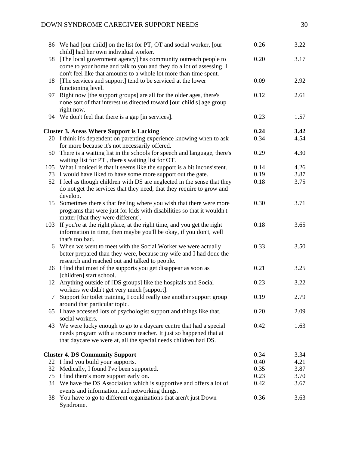|     | 86 We had [our child] on the list for PT, OT and social worker, [our<br>child] had her own individual worker.                                                                                                 | 0.26 | 3.22 |
|-----|---------------------------------------------------------------------------------------------------------------------------------------------------------------------------------------------------------------|------|------|
| 58  | [The local government agency] has community outreach people to<br>come to your home and talk to you and they do a lot of assessing. I                                                                         | 0.20 | 3.17 |
|     | don't feel like that amounts to a whole lot more than time spent.                                                                                                                                             |      |      |
| 18  | [The services and support] tend to be serviced at the lower<br>functioning level.                                                                                                                             | 0.09 | 2.92 |
| 97  | Right now [the support groups] are all for the older ages, there's<br>none sort of that interest us directed toward [our child's] age group                                                                   | 0.12 | 2.61 |
|     | right now.<br>94 We don't feel that there is a gap [in services].                                                                                                                                             | 0.23 | 1.57 |
|     | <b>Cluster 3. Areas Where Support is Lacking</b>                                                                                                                                                              | 0.24 | 3.42 |
|     | 20 I think it's dependent on parenting experience knowing when to ask<br>for more because it's not necessarily offered.                                                                                       | 0.34 | 4.54 |
| 50  | There is a waiting list in the schools for speech and language, there's<br>waiting list for PT, there's waiting list for OT.                                                                                  | 0.29 | 4.30 |
| 105 | What I noticed is that it seems like the support is a bit inconsistent.                                                                                                                                       | 0.14 | 4.26 |
|     | 73 I would have liked to have some more support out the gate.                                                                                                                                                 | 0.19 | 3.87 |
|     | 52 I feel as though children with DS are neglected in the sense that they<br>do not get the services that they need, that they require to grow and                                                            | 0.18 | 3.75 |
| 15  | develop.<br>Sometimes there's that feeling where you wish that there were more<br>programs that were just for kids with disabilities so that it wouldn't<br>matter [that they were different].                | 0.30 | 3.71 |
|     | 103 If you're at the right place, at the right time, and you get the right<br>information in time, then maybe you'll be okay, if you don't, well<br>that's too bad.                                           | 0.18 | 3.65 |
|     | 6 When we went to meet with the Social Worker we were actually<br>better prepared than they were, because my wife and I had done the<br>research and reached out and talked to people.                        | 0.33 | 3.50 |
|     | 26 I find that most of the supports you get disappear as soon as<br>[children] start school.                                                                                                                  | 0.21 | 3.25 |
|     | 12 Anything outside of [DS groups] like the hospitals and Social<br>workers we didn't get very much [support].                                                                                                | 0.23 | 3.22 |
|     | Support for toilet training, I could really use another support group<br>around that particular topic.                                                                                                        | 0.19 | 2.79 |
| 65  | I have accessed lots of psychologist support and things like that,<br>social workers.                                                                                                                         | 0.20 | 2.09 |
|     | 43 We were lucky enough to go to a daycare centre that had a special<br>needs program with a resource teacher. It just so happened that at<br>that daycare we were at, all the special needs children had DS. | 0.42 | 1.63 |
|     | <b>Cluster 4. DS Community Support</b>                                                                                                                                                                        | 0.34 | 3.34 |
|     | 22 I find you build your supports.                                                                                                                                                                            | 0.40 | 4.21 |
| 32  | Medically, I found I've been supported.                                                                                                                                                                       | 0.35 | 3.87 |
|     | 75 I find there's more support early on.                                                                                                                                                                      | 0.23 | 3.70 |
|     | 34 We have the DS Association which is supportive and offers a lot of<br>events and information, and networking things.                                                                                       | 0.42 | 3.67 |
| 38  | You have to go to different organizations that aren't just Down<br>Syndrome.                                                                                                                                  | 0.36 | 3.63 |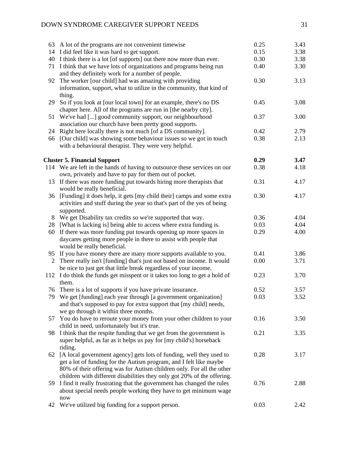# DOWN SYNDROME CAREGIVER SUPPORT NEEDS 31

|    | 63 A lot of the programs are not convenient timewise                                                                                                                                                                            | 0.25 | 3.43 |
|----|---------------------------------------------------------------------------------------------------------------------------------------------------------------------------------------------------------------------------------|------|------|
|    | 14 I did feel like it was hard to get support.                                                                                                                                                                                  | 0.15 | 3.38 |
|    | 40 I think there is a lot [of supports] out there now more than ever.                                                                                                                                                           | 0.30 | 3.38 |
|    | 71 I think that we have lots of organizations and programs being run<br>and they definitely work for a number of people.                                                                                                        | 0.40 | 3.30 |
| 92 | The worker [our child] had was amazing with providing<br>information, support, what to utilize in the community, that kind of                                                                                                   | 0.30 | 3.13 |
| 29 | thing.<br>So if you look at [our local town] for an example, there's no DS<br>chapter here. All of the programs are run in [the nearby city].                                                                                   | 0.45 | 3.08 |
| 51 | We've had [] good community support, our neighbourhood<br>association our church have been pretty good supports.                                                                                                                | 0.37 | 3.00 |
|    | 24 Right here locally there is not much [of a DS community].                                                                                                                                                                    | 0.42 | 2.79 |
| 66 | [Our child] was showing some behaviour issues so we got in touch<br>with a behavioural therapist. They were very helpful.                                                                                                       | 0.38 | 2.13 |
|    | <b>Cluster 5. Financial Support</b>                                                                                                                                                                                             | 0.29 | 3.47 |
|    | 114 We are left in the hands of having to outsource these services on our<br>own, privately and have to pay for them out of pocket.                                                                                             | 0.38 | 4.18 |
| 13 | If there was more funding put towards hiring more therapists that<br>would be really beneficial.                                                                                                                                | 0.31 | 4.17 |
| 36 | [Funding] it does help, it gets [my child their] camps and some extra<br>activities and stuff during the year so that's part of the yes of being<br>supported.                                                                  | 0.30 | 4.17 |
| 8  | We get Disability tax credits so we're supported that way.                                                                                                                                                                      | 0.36 | 4.04 |
| 28 | [What is lacking is] being able to access where extra funding is.                                                                                                                                                               | 0.03 | 4.04 |
| 60 | If there was more funding put towards opening up more spaces in<br>daycares getting more people in there to assist with people that<br>would be really beneficial.                                                              | 0.29 | 4.00 |
| 95 | If you have money there are many more supports available to you.                                                                                                                                                                | 0.41 | 3.86 |
| 2  | There really isn't [funding] that's just not based on income. It would<br>be nice to just get that little break regardless of your income.                                                                                      | 0.00 | 3.71 |
|    | 112 I do think the funds get misspent or it takes too long to get a hold of<br>them.                                                                                                                                            | 0.23 | 3.70 |
|    | 76 There is a lot of supports if you have private insurance.                                                                                                                                                                    | 0.52 | 3.57 |
|    | We get [funding] each year through [a government organization]<br>and that's supposed to pay for extra support that [my child] needs,<br>we go through it within three months.                                                  | 0.03 | 3.52 |
|    | 57 You do have to reroute your money from your other children to your<br>child in need, unfortunately but it's true.                                                                                                            | 0.16 | 3.50 |
| 98 | I think that the respite funding that we get from the government is<br>super helpful, as far as it helps us pay for [my child's] horseback<br>riding.                                                                           | 0.21 | 3.35 |
| 62 | [A local government agency] gets lots of funding, well they used to<br>get a lot of funding for the Autism program, and I felt like maybe<br>80% of their offering was for Autism children only. For all the other              | 0.28 | 3.17 |
|    | children with different disabilities they only got 20% of the offering.<br>59 I find it really frustrating that the government has changed the rules<br>about special needs people working they have to get minimum wage<br>now | 0.76 | 2.88 |
|    | 42 We've utilized big funding for a support person.                                                                                                                                                                             | 0.03 | 2.42 |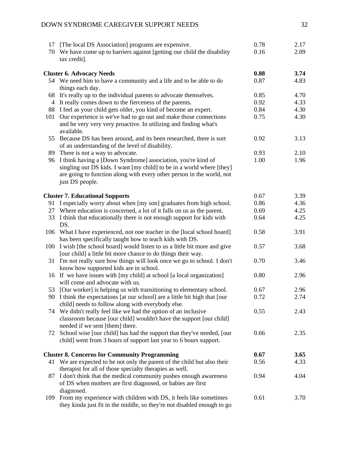|     | DOWN SYNDROME CAREGIVER SUPPORT NEEDS                                                                                                                                                                                             |      | 32   |
|-----|-----------------------------------------------------------------------------------------------------------------------------------------------------------------------------------------------------------------------------------|------|------|
|     | 17 [The local DS Association] programs are expensive.                                                                                                                                                                             | 0.78 | 2.17 |
| 70  | We have come up to barriers against [getting our child the disability<br>tax credit].                                                                                                                                             | 0.16 | 2.09 |
|     | <b>Cluster 6. Advocacy Needs</b>                                                                                                                                                                                                  | 0.88 | 3.74 |
|     | 54 We need him to have a community and a life and to be able to do<br>things each day.                                                                                                                                            | 0.87 | 4.83 |
|     | 68 It's really up to the individual parents to advocate themselves.                                                                                                                                                               | 0.85 | 4.70 |
| 4   | It really comes down to the fierceness of the parents.                                                                                                                                                                            | 0.92 | 4.33 |
|     | 88 I feel as your child gets older, you kind of become an expert.                                                                                                                                                                 | 0.84 | 4.30 |
| 101 | Our experience is we've had to go out and make those connections<br>and be very very very proactive. In utilizing and finding what's<br>available.                                                                                | 0.75 | 4.30 |
|     | 55 Because DS has been around, and its been researched, there is sort<br>of an understanding of the level of disability.                                                                                                          | 0.92 | 3.13 |
|     | 89 There is not a way to advocate.                                                                                                                                                                                                | 0.93 | 2.10 |
| 96  | I think having a [Down Syndrome] association, you're kind of<br>singling out DS kids. I want [my child] to be in a world where [they]<br>are going to function along with every other person in the world, not<br>just DS people. | 1.00 | 1.96 |
|     |                                                                                                                                                                                                                                   | 0.67 | 3.39 |
|     | <b>Cluster 7. Educational Supports</b><br>91 I especially worry about when [my son] graduates from high school.                                                                                                                   | 0.86 | 4.36 |
|     | 27 Where education is concerned, a lot of it falls on us as the parent.                                                                                                                                                           | 0.69 | 4.25 |
|     | 33 I think that educationally there is not enough support for kids with<br>DS.                                                                                                                                                    | 0.64 | 4.25 |
|     | 106 What I have experienced, not one teacher in the [local school board]<br>has been specifically taught how to teach kids with DS.                                                                                               | 0.58 | 3.91 |
|     | 100 I wish [the school board] would listen to us a little bit more and give<br>[our child] a little bit more chance to do things their way.                                                                                       | 0.57 | 3.68 |
|     | 31 I'm not really sure how things will look once we go to school. I don't<br>know how supported kids are in school.                                                                                                               | 0.70 | 3.46 |
|     | 16 If we have issues with [my child] at school [a local organization]<br>will come and advocate with us.                                                                                                                          | 0.80 | 2.96 |
|     | 53 [Our worker] is helping us with transitioning to elementary school.                                                                                                                                                            | 0.67 | 2.96 |
|     | 90 I think the expectations [at our school] are a little bit high that [our<br>child] needs to follow along with everybody else.                                                                                                  | 0.72 | 2.74 |
|     | 74 We didn't really feel like we had the option of an inclusive<br>classroom because [our child] wouldn't have the support [our child]                                                                                            | 0.55 | 2.43 |
|     | needed if we sent [them] there.<br>72 School wise [our child] has had the support that they've needed, [our<br>child] went from 3 hours of support last year to 6 hours support.                                                  | 0.66 | 2.35 |
|     | <b>Cluster 8. Concerns for Community Programming</b>                                                                                                                                                                              | 0.67 | 3.65 |
|     | 41 We are expected to be not only the parent of the child but also their<br>therapist for all of those specialty therapies as well.                                                                                               | 0.56 | 4.33 |
| 87  | I don't think that the medical community pushes enough awareness<br>of DS when mothers are first diagnosed, or babies are first<br>diagnosed.                                                                                     | 0.94 | 4.04 |
| 109 | From my experience with children with DS, it feels like sometimes<br>they kinda just fit in the middle, so they're not disabled enough to go                                                                                      | 0.61 | 3.70 |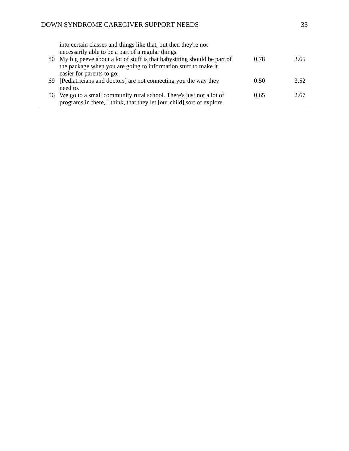| 80 | into certain classes and things like that, but then they're not<br>necessarily able to be a part of a regular things.<br>My big peeve about a lot of stuff is that babysitting should be part of<br>the package when you are going to information stuff to make it | 0.78 | 3.65 |
|----|--------------------------------------------------------------------------------------------------------------------------------------------------------------------------------------------------------------------------------------------------------------------|------|------|
| 69 | easier for parents to go.<br>[Pediatricians and doctors] are not connecting you the way they<br>need to.                                                                                                                                                           | 0.50 | 3.52 |
|    | 56 We go to a small community rural school. There's just not a lot of<br>programs in there, I think, that they let [our child] sort of explore.                                                                                                                    | 0.65 | 2.67 |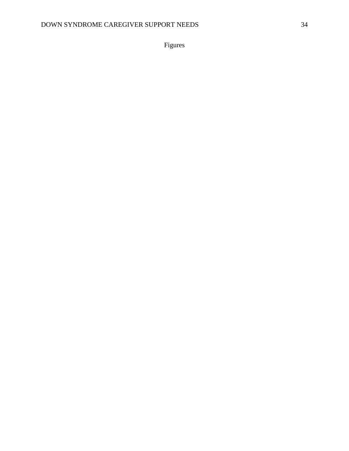Figures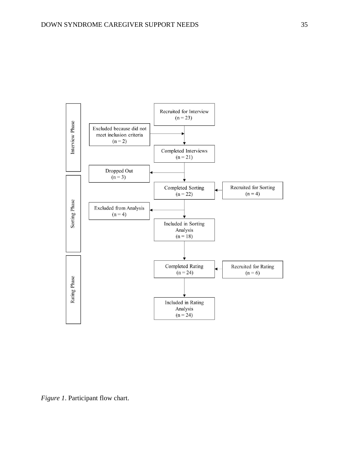